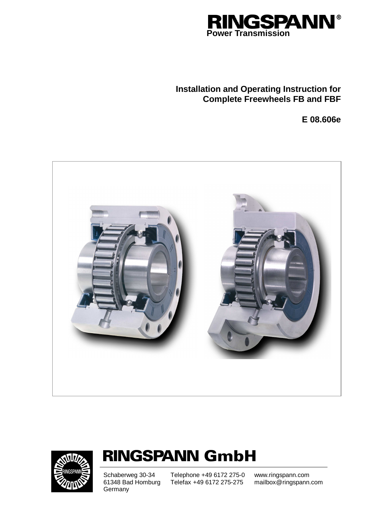

# **Installation and Operating Instruction for Complete Freewheels FB and FBF**

**E 08.606e** 





# **RINGSPANN GmbH**

Schaberweg 30-34 61348 Bad Homburg **Germany** 

Telephone +49 6172 275-0 Telefax +49 6172 275-275

www.ringspann.com mailbox@ringspann.com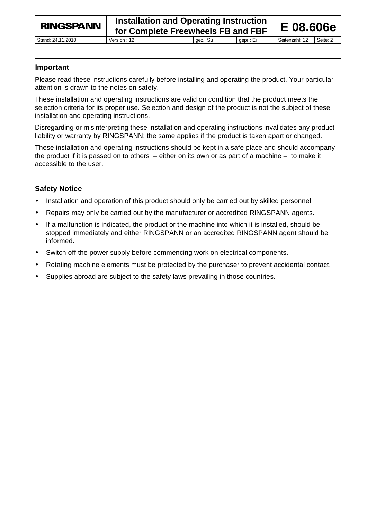# **Important**

Please read these instructions carefully before installing and operating the product. Your particular attention is drawn to the notes on safety.

These installation and operating instructions are valid on condition that the product meets the selection criteria for its proper use. Selection and design of the product is not the subject of these installation and operating instructions.

Disregarding or misinterpreting these installation and operating instructions invalidates any product liability or warranty by RINGSPANN; the same applies if the product is taken apart or changed.

These installation and operating instructions should be kept in a safe place and should accompany the product if it is passed on to others – either on its own or as part of a machine – to make it accessible to the user.

# **Safety Notice**

- Installation and operation of this product should only be carried out by skilled personnel.
- Repairs may only be carried out by the manufacturer or accredited RINGSPANN agents.
- If a malfunction is indicated, the product or the machine into which it is installed, should be stopped immediately and either RINGSPANN or an accredited RINGSPANN agent should be informed.
- Switch off the power supply before commencing work on electrical components.
- Rotating machine elements must be protected by the purchaser to prevent accidental contact.
- Supplies abroad are subject to the safety laws prevailing in those countries.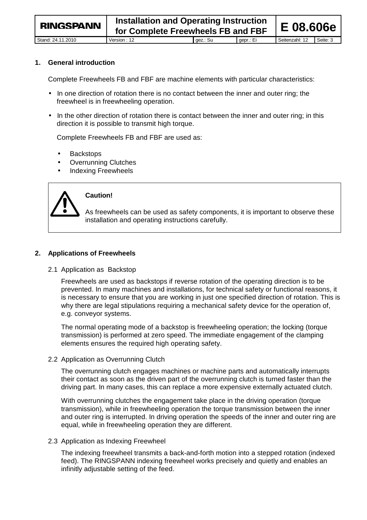**1. General introduction** 

Complete Freewheels FB and FBF are machine elements with particular characteristics:

- In one direction of rotation there is no contact between the inner and outer ring; the freewheel is in freewheeling operation.
- In the other direction of rotation there is contact between the inner and outer ring; in this direction it is possible to transmit high torque.

Complete Freewheels FB and FBF are used as:

- **Backstops**
- Overrunning Clutches
- Indexing Freewheels



# **Caution!**

As freewheels can be used as safety components, it is important to observe these installation and operating instructions carefully.

#### **2. Applications of Freewheels**

#### 2.1 Application as Backstop

Freewheels are used as backstops if reverse rotation of the operating direction is to be prevented. In many machines and installations, for technical safety or functional reasons, it is necessary to ensure that you are working in just one specified direction of rotation. This is why there are legal stipulations requiring a mechanical safety device for the operation of, e.g. conveyor systems.

The normal operating mode of a backstop is freewheeling operation; the locking (torque transmission) is performed at zero speed. The immediate engagement of the clamping elements ensures the required high operating safety.

#### 2.2 Application as Overrunning Clutch

The overrunning clutch engages machines or machine parts and automatically interrupts their contact as soon as the driven part of the overrunning clutch is turned faster than the driving part. In many cases, this can replace a more expensive externally actuated clutch.

With overrunning clutches the engagement take place in the driving operation (torque transmission), while in freewheeling operation the torque transmission between the inner and outer ring is interrupted. In driving operation the speeds of the inner and outer ring are equal, while in freewheeling operation they are different.

#### 2.3 Application as Indexing Freewheel

The indexing freewheel transmits a back-and-forth motion into a stepped rotation (indexed feed). The RINGSPANN indexing freewheel works precisely and quietly and enables an infinitly adjustable setting of the feed.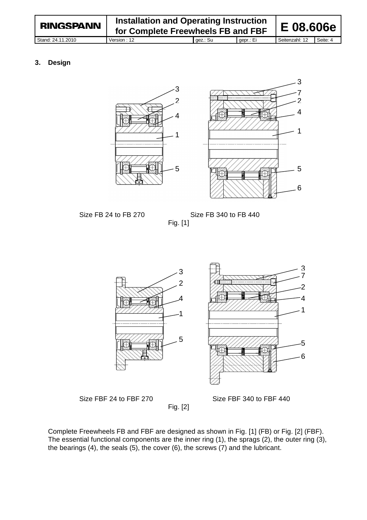| <b>RINGSPANN</b>  | Installation and Operating Instruction<br>for Complete Freewheels FB and FBF |          |           | E 08.606e      |          |
|-------------------|------------------------------------------------------------------------------|----------|-----------|----------------|----------|
| Stand: 24.11.2010 | Version: 12                                                                  | gez.: Su | gepr.: Ei | Seitenzahl: 12 | Seite: 4 |

### **3. Design**





Size FB 24 to FB 270 Size FB 340 to FB 440 Fig. [1]





Fig. [2]

Size FBF 24 to FBF 270 Size FBF 340 to FBF 440

Complete Freewheels FB and FBF are designed as shown in Fig. [1] (FB) or Fig. [2] (FBF). The essential functional components are the inner ring (1), the sprags (2), the outer ring (3), the bearings (4), the seals (5), the cover (6), the screws (7) and the lubricant.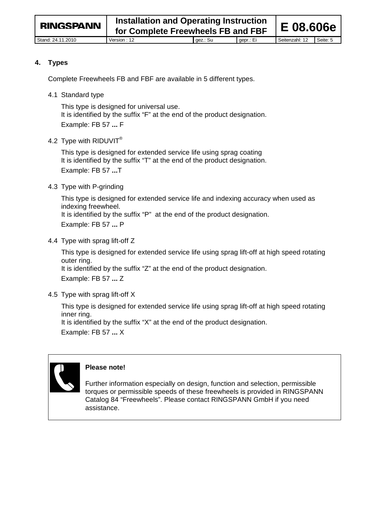#### **4. Types**

Complete Freewheels FB and FBF are available in 5 different types.

4.1 Standard type

This type is designed for universal use. It is identified by the suffix "F" at the end of the product designation. Example: FB 57 **...** F

4.2 Type with RIDUVIT®

This type is designed for extended service life using sprag coating It is identified by the suffix "T" at the end of the product designation. Example: FB 57 **...**T

### 4.3 Type with P-grinding

This type is designed for extended service life and indexing accuracy when used as indexing freewheel. It is identified by the suffix "P" at the end of the product designation. Example: FB 57 **...** P

4.4 Type with sprag lift-off Z

This type is designed for extended service life using sprag lift-off at high speed rotating outer ring. It is identified by the suffix "Z" at the end of the product designation.

Example: FB 57 **...** Z

### 4.5 Type with sprag lift-off X

This type is designed for extended service life using sprag lift-off at high speed rotating inner ring. It is identified by the suffix "X" at the end of the product designation.

Example: FB 57 **...** X



### **Please note!**

Further information especially on design, function and selection, permissible torques or permissible speeds of these freewheels is provided in RINGSPANN Catalog 84 "Freewheels". Please contact RINGSPANN GmbH if you need assistance.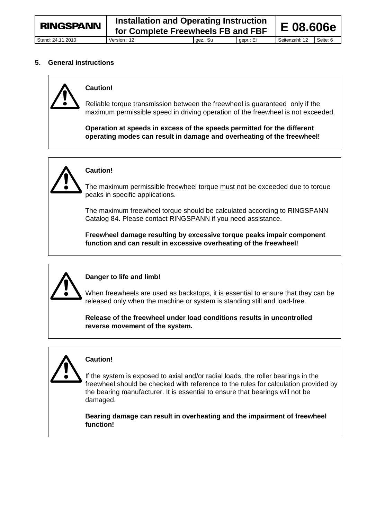#### **5. General instructions**



# **Caution!**

Reliable torque transmission between the freewheel is guaranteed only if the maximum permissible speed in driving operation of the freewheel is not exceeded.

**Operation at speeds in excess of the speeds permitted for the different operating modes can result in damage and overheating of the freewheel!**



# **Caution!**

The maximum permissible freewheel torque must not be exceeded due to torque peaks in specific applications.

The maximum freewheel torque should be calculated according to RINGSPANN Catalog 84. Please contact RINGSPANN if you need assistance.

**Freewheel damage resulting by excessive torque peaks impair component function and can result in excessive overheating of the freewheel!**



# **Danger to life and limb!**

When freewheels are used as backstops, it is essential to ensure that they can be released only when the machine or system is standing still and load-free.

**Release of the freewheel under load conditions results in uncontrolled reverse movement of the system.**

# **Caution!**

If the system is exposed to axial and/or radial loads, the roller bearings in the freewheel should be checked with reference to the rules for calculation provided by the bearing manufacturer. It is essential to ensure that bearings will not be damaged.

**Bearing damage can result in overheating and the impairment of freewheel function!**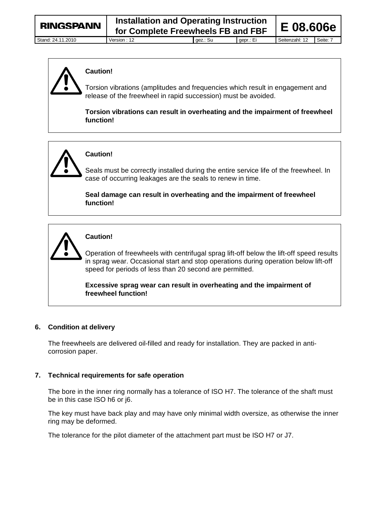

# **Caution!**

Torsion vibrations (amplitudes and frequencies which result in engagement and release of the freewheel in rapid succession) must be avoided.

**Torsion vibrations can result in overheating and the impairment of freewheel function!**



# **Caution!**

Seals must be correctly installed during the entire service life of the freewheel. In case of occurring leakages are the seals to renew in time.

**Seal damage can result in overheating and the impairment of freewheel function!**



# **Caution!**

Operation of freewheels with centrifugal sprag lift-off below the lift-off speed results in sprag wear. Occasional start and stop operations during operation below lift-off speed for periods of less than 20 second are permitted.

**Excessive sprag wear can result in overheating and the impairment of freewheel function!**

# **6. Condition at delivery**

The freewheels are delivered oil-filled and ready for installation. They are packed in anticorrosion paper.

### **7. Technical requirements for safe operation**

The bore in the inner ring normally has a tolerance of ISO H7. The tolerance of the shaft must be in this case ISO h6 or j6.

The key must have back play and may have only minimal width oversize, as otherwise the inner ring may be deformed.

The tolerance for the pilot diameter of the attachment part must be ISO H7 or J7.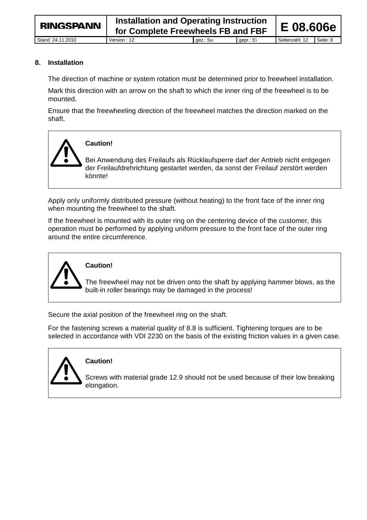# **8. Installation**

The direction of machine or system rotation must be determined prior to freewheel installation.

Mark this direction with an arrow on the shaft to which the inner ring of the freewheel is to be mounted.

Ensure that the freewheeling direction of the freewheel matches the direction marked on the shaft.



Apply only uniformly distributed pressure (without heating) to the front face of the inner ring when mounting the freewheel to the shaft.

If the freewheel is mounted with its outer ring on the centering device of the customer, this operation must be performed by applying uniform pressure to the front face of the outer ring around the entire circumference.



### **Caution!**

The freewheel may not be driven onto the shaft by applying hammer blows, as the built-in roller bearings may be damaged in the process!

Secure the axial position of the freewheel ring on the shaft.

For the fastening screws a material quality of 8.8 is sufficient. Tightening torques are to be selected in accordance with VDI 2230 on the basis of the existing friction values in a given case.



# **Caution!**

Screws with material grade 12.9 should not be used because of their low breaking elongation.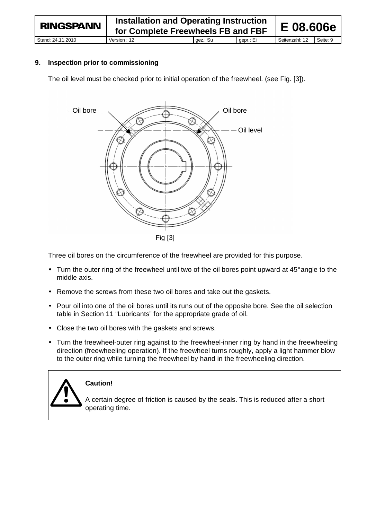#### **9. Inspection prior to commissioning**

The oil level must be checked prior to initial operation of the freewheel. (see Fig. [3]).



Three oil bores on the circumference of the freewheel are provided for this purpose.

- Turn the outer ring of the freewheel until two of the oil bores point upward at 45° angle to the middle axis.
- Remove the screws from these two oil bores and take out the gaskets.
- Pour oil into one of the oil bores until its runs out of the opposite bore. See the oil selection table in Section 11 "Lubricants" for the appropriate grade of oil.
- Close the two oil bores with the gaskets and screws.
- Turn the freewheel-outer ring against to the freewheel-inner ring by hand in the freewheeling direction (freewheeling operation). If the freewheel turns roughly, apply a light hammer blow to the outer ring while turning the freewheel by hand in the freewheeling direction.



#### **Caution!**

A certain degree of friction is caused by the seals. This is reduced after a short operating time.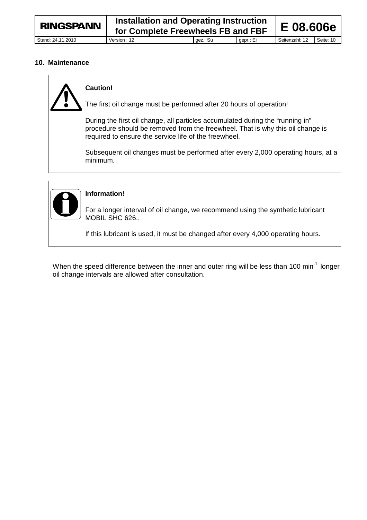#### **10. Maintenance**



# **Caution!**

The first oil change must be performed after 20 hours of operation!

During the first oil change, all particles accumulated during the "running in" procedure should be removed from the freewheel. That is why this oil change is required to ensure the service life of the freewheel.

Subsequent oil changes must be performed after every 2,000 operating hours, at a minimum.



# **Information!**

For a longer interval of oil change, we recommend using the synthetic lubricant MOBIL SHC 626..

If this lubricant is used, it must be changed after every 4,000 operating hours.

When the speed difference between the inner and outer ring will be less than 100 min<sup>-1</sup> longer oil change intervals are allowed after consultation.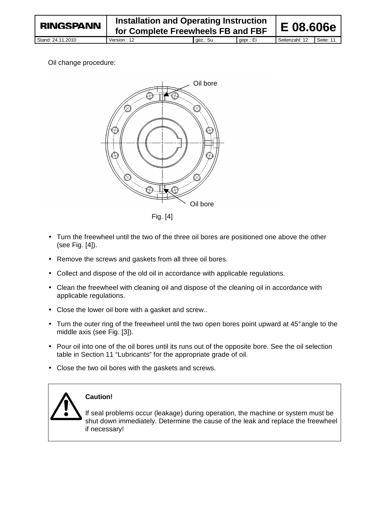# Oil change procedure:



- Turn the freewheel until the two of the three oil bores are positioned one above the other (see Fig. [4]).
- Remove the screws and gaskets from all three oil bores.
- Collect and dispose of the old oil in accordance with applicable regulations.
- Clean the freewheel with cleaning oil and dispose of the cleaning oil in accordance with applicable regulations.
- Close the lower oil bore with a gasket and screw..
- Turn the outer ring of the freewheel until the two open bores point upward at 45° angle to the middle axis (see Fig. [3]).
- Pour oil into one of the oil bores until its runs out of the opposite bore. See the oil selection table in Section 11 "Lubricants" for the appropriate grade of oil.
- Close the two oil bores with the gaskets and screws.



# **Caution!**

If seal problems occur (leakage) during operation, the machine or system must be shut down immediately. Determine the cause of the leak and replace the freewheel if necessary!